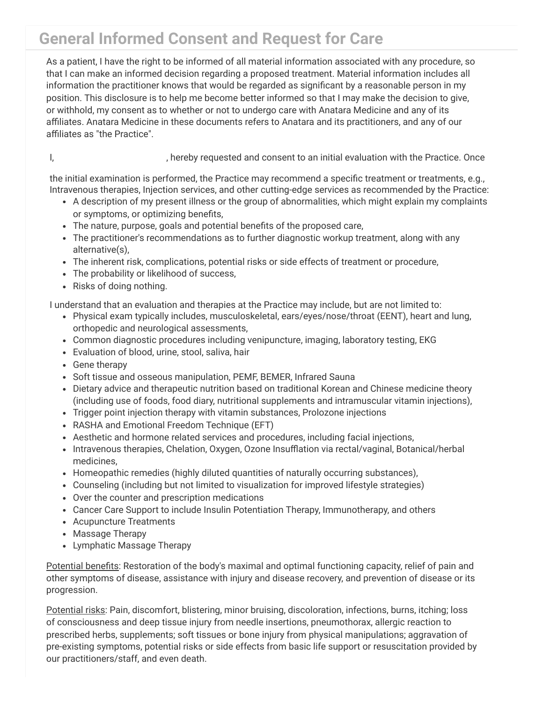# **General Informed Consent and Request for Care**

As a patient, I have the right to be informed of all material information associated with any procedure, so that I can make an informed decision regarding a proposed treatment. Material information includes all information the practitioner knows that would be regarded as significant by a reasonable person in my position. This disclosure is to help me become better informed so that I may make the decision to give, or withhold, my consent as to whether or not to undergo care with Anatara Medicine and any of its affiliates. Anatara Medicine in these documents refers to Anatara and its practitioners, and any of our affiliates as "the Practice".

I, suready requested and consent to an initial evaluation with the Practice. Once

the initial examination is performed, the Practice may recommend a specific treatment or treatments, e.g., Intravenous therapies, Injection services, and other cutting-edge services as recommended by the Practice:

- A description of my present illness or the group of abnormalities, which might explain my complaints or symptoms, or optimizing benefits,
- The nature, purpose, goals and potential benefits of the proposed care,
- The practitioner's recommendations as to further diagnostic workup treatment, along with any alternative(s),
- The inherent risk, complications, potential risks or side effects of treatment or procedure,
- The probability or likelihood of success,
- Risks of doing nothing.

I understand that an evaluation and therapies at the Practice may include, but are not limited to:

- Physical exam typically includes, musculoskeletal, ears/eyes/nose/throat (EENT), heart and lung, orthopedic and neurological assessments,
- Common diagnostic procedures including venipuncture, imaging, laboratory testing, EKG
- Evaluation of blood, urine, stool, saliva, hair
- Gene therapy
- Soft tissue and osseous manipulation, PEMF, BEMER, Infrared Sauna
- Dietary advice and therapeutic nutrition based on traditional Korean and Chinese medicine theory (including use of foods, food diary, nutritional supplements and intramuscular vitamin injections),
- Trigger point injection therapy with vitamin substances, Prolozone injections
- RASHA and Emotional Freedom Technique (EFT)
- Aesthetic and hormone related services and procedures, including facial injections,
- Intravenous therapies, Chelation, Oxygen, Ozone Insufflation via rectal/vaginal, Botanical/herbal medicines,
- Homeopathic remedies (highly diluted quantities of naturally occurring substances),
- Counseling (including but not limited to visualization for improved lifestyle strategies)
- Over the counter and prescription medications
- Cancer Care Support to include Insulin Potentiation Therapy, Immunotherapy, and others
- Acupuncture Treatments
- Massage Therapy
- Lymphatic Massage Therapy

Potential benefits: Restoration of the body's maximal and optimal functioning capacity, relief of pain and other symptoms of disease, assistance with injury and disease recovery, and prevention of disease or its progression.

Potential risks: Pain, discomfort, blistering, minor bruising, discoloration, infections, burns, itching; loss of consciousness and deep tissue injury from needle insertions, pneumothorax, allergic reaction to prescribed herbs, supplements; soft tissues or bone injury from physical manipulations; aggravation of pre-existing symptoms, potential risks or side effects from basic life support or resuscitation provided by our practitioners/staff, and even death.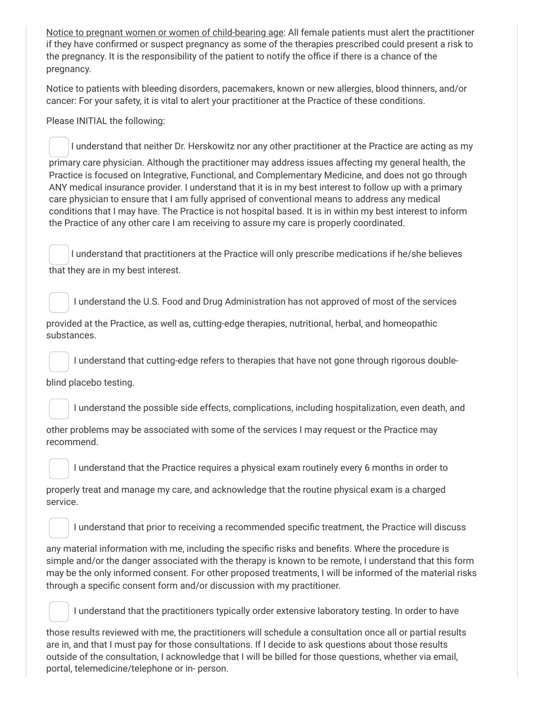Notice to pregnant women or women of child-bearing age: All female patients must alert the practitioner if they have confirmed or suspect pregnancy as some of the therapies prescribed could present a risk to the pregnancy. It is the responsibility of the patient to notify the office if there is a chance of the pregnancy.

Notice to patients with bleeding disorders, pacemakers, known or new allergies, blood thinners, and/or cancer: For your safety, it is vital to alert your practitioner at the Practice of these conditions.

Please INITIAL the following:

I understand that neither Dr. Herskowitz nor any other practitioner at the Practice are acting as my

primary care physician. Although the practitioner may address issues affecting my general health, the Practice is focused on Integrative, Functional, and Complementary Medicine, and does not go through ANY medical insurance provider. I understand that it is in my best interest to follow up with a primary care physician to ensure that I am fully apprised of conventional means to address any medical conditions that I may have. The Practice is not hospital based. It is in within my best interest to inform the Practice of any other care I am receiving to assure my care is properly coordinated.

I understand that practitioners at the Practice will only prescribe medications if he/she believes that they are in my best interest.

I understand the U.S. Food and Drug Administration has not approved of most of the services

provided at the Practice, as well as, cutting-edge therapies, nutritional, herbal, and homeopathic substances.

I understand that cutting-edge refers to therapies that have not gone through rigorous double-

blind placebo testing.

I understand the possible side effects, complications, including hospitalization, even death, and

other problems may be associated with some of the services I may request or the Practice may recommend.

I understand that the Practice requires a physical exam routinely every 6 months in order to

properly treat and manage my care, and acknowledge that the routine physical exam is a charged service.

I understand that prior to receiving a recommended specific treatment, the Practice will discuss

any material information with me, including the specific risks and benefits. Where the procedure is simple and/or the danger associated with the therapy is known to be remote, I understand that this form may be the only informed consent. For other proposed treatments, I will be informed of the material risks through a specific consent form and/or discussion with my practitioner.

I understand that the practitioners typically order extensive laboratory testing. In order to have

those results reviewed with me, the practitioners will schedule a consultation once all or partial results are in, and that I must pay for those consultations. If I decide to ask questions about those results outside of the consultation, I acknowledge that I will be billed for those questions, whether via email, portal, telemedicine/telephone or in- person.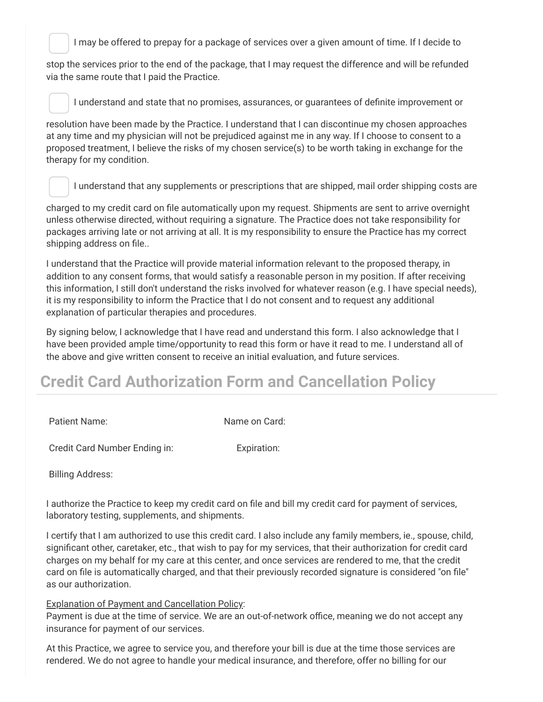I may be offered to prepay for a package of services over a given amount of time. If I decide to

stop the services prior to the end of the package, that I may request the difference and will be refunded via the same route that I paid the Practice.

I understand and state that no promises, assurances, or guarantees of definite improvement or

resolution have been made by the Practice. I understand that I can discontinue my chosen approaches at any time and my physician will not be prejudiced against me in any way. If I choose to consent to a proposed treatment, I believe the risks of my chosen service(s) to be worth taking in exchange for the therapy for my condition.

I understand that any supplements or prescriptions that are shipped, mail order shipping costs are

charged to my credit card on file automatically upon my request. Shipments are sent to arrive overnight unless otherwise directed, without requiring a signature. The Practice does not take responsibility for packages arriving late or not arriving at all. It is my responsibility to ensure the Practice has my correct shipping address on file..

I understand that the Practice will provide material information relevant to the proposed therapy, in addition to any consent forms, that would satisfy a reasonable person in my position. If after receiving this information, I still don't understand the risks involved for whatever reason (e.g. I have special needs), it is my responsibility to inform the Practice that I do not consent and to request any additional explanation of particular therapies and procedures.

By signing below, I acknowledge that I have read and understand this form. I also acknowledge that I have been provided ample time/opportunity to read this form or have it read to me. I understand all of the above and give written consent to receive an initial evaluation, and future services.

# **Credit Card Authorization Form and Cancellation Policy**

Credit Card Number Ending in: Expiration:

Billing Address:

I authorize the Practice to keep my credit card on file and bill my credit card for payment of services, laboratory testing, supplements, and shipments.

I certify that I am authorized to use this credit card. I also include any family members, ie., spouse, child, significant other, caretaker, etc., that wish to pay for my services, that their authorization for credit card charges on my behalf for my care at this center, and once services are rendered to me, that the credit card on file is automatically charged, and that their previously recorded signature is considered "on file" as our authorization.

#### Explanation of Payment and Cancellation Policy:

Payment is due at the time of service. We are an out-of-network office, meaning we do not accept any insurance for payment of our services.

At this Practice, we agree to service you, and therefore your bill is due at the time those services are rendered. We do not agree to handle your medical insurance, and therefore, offer no billing for our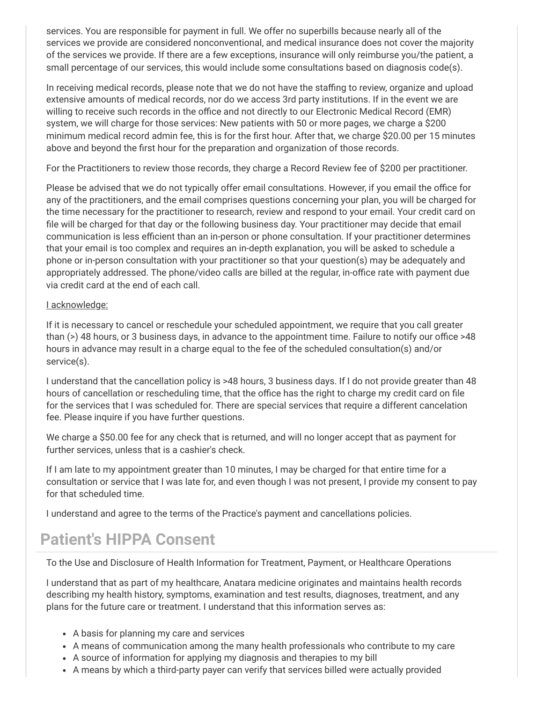services. You are responsible for payment in full. We offer no superbills because nearly all of the services we provide are considered nonconventional, and medical insurance does not cover the majority of the services we provide. If there are a few exceptions, insurance will only reimburse you/the patient, a small percentage of our services, this would include some consultations based on diagnosis code(s).

In receiving medical records, please note that we do not have the staffing to review, organize and upload extensive amounts of medical records, nor do we access 3rd party institutions. If in the event we are willing to receive such records in the office and not directly to our Electronic Medical Record (EMR) system, we will charge for those services: New patients with 50 or more pages, we charge a \$200 minimum medical record admin fee, this is for the first hour. After that, we charge \$20.00 per 15 minutes above and beyond the first hour for the preparation and organization of those records.

For the Practitioners to review those records, they charge a Record Review fee of \$200 per practitioner.

Please be advised that we do not typically offer email consultations. However, if you email the office for any of the practitioners, and the email comprises questions concerning your plan, you will be charged for the time necessary for the practitioner to research, review and respond to your email. Your credit card on file will be charged for that day or the following business day. Your practitioner may decide that email communication is less efficient than an in-person or phone consultation. If your practitioner determines that your email is too complex and requires an in-depth explanation, you will be asked to schedule a phone or in-person consultation with your practitioner so that your question(s) may be adequately and appropriately addressed. The phone/video calls are billed at the regular, in-office rate with payment due via credit card at the end of each call.

# I acknowledge:

If it is necessary to cancel or reschedule your scheduled appointment, we require that you call greater than (>) 48 hours, or 3 business days, in advance to the appointment time. Failure to notify our office >48 hours in advance may result in a charge equal to the fee of the scheduled consultation(s) and/or service(s).

I understand that the cancellation policy is >48 hours, 3 business days. If I do not provide greater than 48 hours of cancellation or rescheduling time, that the office has the right to charge my credit card on file for the services that I was scheduled for. There are special services that require a different cancelation fee. Please inquire if you have further questions.

We charge a \$50.00 fee for any check that is returned, and will no longer accept that as payment for further services, unless that is a cashier's check.

If I am late to my appointment greater than 10 minutes, I may be charged for that entire time for a consultation or service that I was late for, and even though I was not present, I provide my consent to pay for that scheduled time.

I understand and agree to the terms of the Practice's payment and cancellations policies.

# **Patient's HIPPA Consent**

To the Use and Disclosure of Health Information for Treatment, Payment, or Healthcare Operations

I understand that as part of my healthcare, Anatara medicine originates and maintains health records describing my health history, symptoms, examination and test results, diagnoses, treatment, and any plans for the future care or treatment. I understand that this information serves as:

- A basis for planning my care and services
- A means of communication among the many health professionals who contribute to my care
- A source of information for applying my diagnosis and therapies to my bill
- A means by which a third-party payer can verify that services billed were actually provided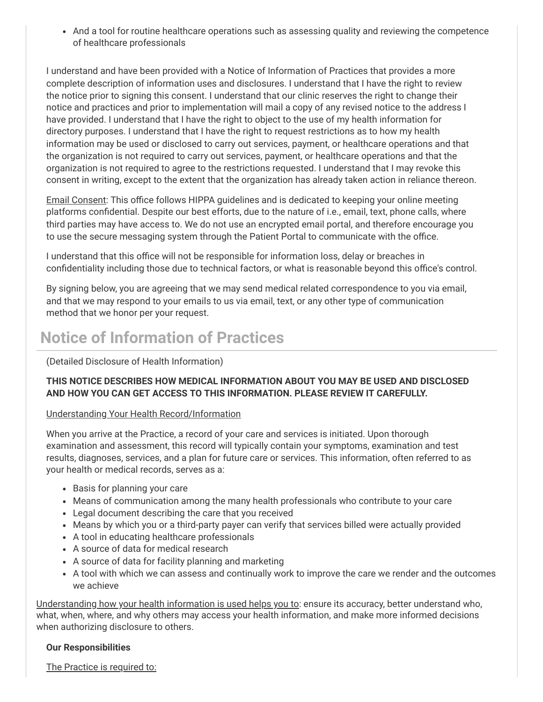And a tool for routine healthcare operations such as assessing quality and reviewing the competence of healthcare professionals

I understand and have been provided with a Notice of Information of Practices that provides a more complete description of information uses and disclosures. I understand that I have the right to review the notice prior to signing this consent. I understand that our clinic reserves the right to change their notice and practices and prior to implementation will mail a copy of any revised notice to the address I have provided. I understand that I have the right to object to the use of my health information for directory purposes. I understand that I have the right to request restrictions as to how my health information may be used or disclosed to carry out services, payment, or healthcare operations and that the organization is not required to carry out services, payment, or healthcare operations and that the organization is not required to agree to the restrictions requested. I understand that I may revoke this consent in writing, except to the extent that the organization has already taken action in reliance thereon.

**Email Consent:** This office follows HIPPA guidelines and is dedicated to keeping your online meeting platforms confidential. Despite our best efforts, due to the nature of i.e., email, text, phone calls, where third parties may have access to. We do not use an encrypted email portal, and therefore encourage you to use the secure messaging system through the Patient Portal to communicate with the office.

I understand that this office will not be responsible for information loss, delay or breaches in confidentiality including those due to technical factors, or what is reasonable beyond this office's control.

By signing below, you are agreeing that we may send medical related correspondence to you via email, and that we may respond to your emails to us via email, text, or any other type of communication method that we honor per your request.

# **Notice of Information of Practices**

### (Detailed Disclosure of Health Information)

# **THIS NOTICE DESCRIBES HOW MEDICAL INFORMATION ABOUT YOU MAY BE USED AND DISCLOSED AND HOW YOU CAN GET ACCESS TO THIS INFORMATION. PLEASE REVIEW IT CAREFULLY.**

### Understanding Your Health Record/Information

When you arrive at the Practice, a record of your care and services is initiated. Upon thorough examination and assessment, this record will typically contain your symptoms, examination and test results, diagnoses, services, and a plan for future care or services. This information, often referred to as your health or medical records, serves as a:

- Basis for planning your care
- Means of communication among the many health professionals who contribute to your care
- Legal document describing the care that you received
- Means by which you or a third-party payer can verify that services billed were actually provided
- A tool in educating healthcare professionals
- A source of data for medical research
- A source of data for facility planning and marketing
- A tool with which we can assess and continually work to improve the care we render and the outcomes we achieve

Understanding how your health information is used helps you to: ensure its accuracy, better understand who, what, when, where, and why others may access your health information, and make more informed decisions when authorizing disclosure to others.

# **Our Responsibilities**

The Practice is required to: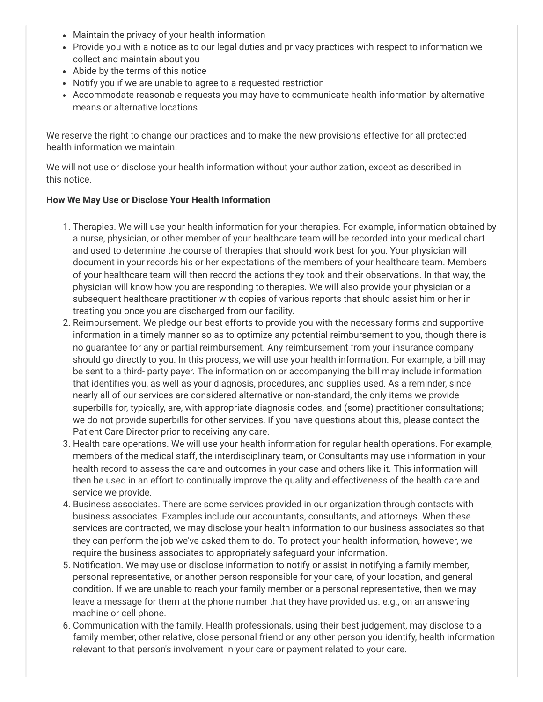- Maintain the privacy of your health information
- Provide you with a notice as to our legal duties and privacy practices with respect to information we collect and maintain about you
- Abide by the terms of this notice
- Notify you if we are unable to agree to a requested restriction
- Accommodate reasonable requests you may have to communicate health information by alternative means or alternative locations

We reserve the right to change our practices and to make the new provisions effective for all protected health information we maintain.

We will not use or disclose your health information without your authorization, except as described in this notice.

#### **How We May Use or Disclose Your Health Information**

- 1. Therapies. We will use your health information for your therapies. For example, information obtained by a nurse, physician, or other member of your healthcare team will be recorded into your medical chart and used to determine the course of therapies that should work best for you. Your physician will document in your records his or her expectations of the members of your healthcare team. Members of your healthcare team will then record the actions they took and their observations. In that way, the physician will know how you are responding to therapies. We will also provide your physician or a subsequent healthcare practitioner with copies of various reports that should assist him or her in treating you once you are discharged from our facility.
- 2. Reimbursement. We pledge our best efforts to provide you with the necessary forms and supportive information in a timely manner so as to optimize any potential reimbursement to you, though there is no guarantee for any or partial reimbursement. Any reimbursement from your insurance company should go directly to you. In this process, we will use your health information. For example, a bill may be sent to a third- party payer. The information on or accompanying the bill may include information that identifies you, as well as your diagnosis, procedures, and supplies used. As a reminder, since nearly all of our services are considered alternative or non-standard, the only items we provide superbills for, typically, are, with appropriate diagnosis codes, and (some) practitioner consultations; we do not provide superbills for other services. If you have questions about this, please contact the Patient Care Director prior to receiving any care.
- 3. Health care operations. We will use your health information for regular health operations. For example, members of the medical staff, the interdisciplinary team, or Consultants may use information in your health record to assess the care and outcomes in your case and others like it. This information will then be used in an effort to continually improve the quality and effectiveness of the health care and service we provide.
- 4. Business associates. There are some services provided in our organization through contacts with business associates. Examples include our accountants, consultants, and attorneys. When these services are contracted, we may disclose your health information to our business associates so that they can perform the job we've asked them to do. To protect your health information, however, we require the business associates to appropriately safeguard your information.
- 5. Notification. We may use or disclose information to notify or assist in notifying a family member, personal representative, or another person responsible for your care, of your location, and general condition. If we are unable to reach your family member or a personal representative, then we may leave a message for them at the phone number that they have provided us. e.g., on an answering machine or cell phone.
- 6. Communication with the family. Health professionals, using their best judgement, may disclose to a family member, other relative, close personal friend or any other person you identify, health information relevant to that person's involvement in your care or payment related to your care.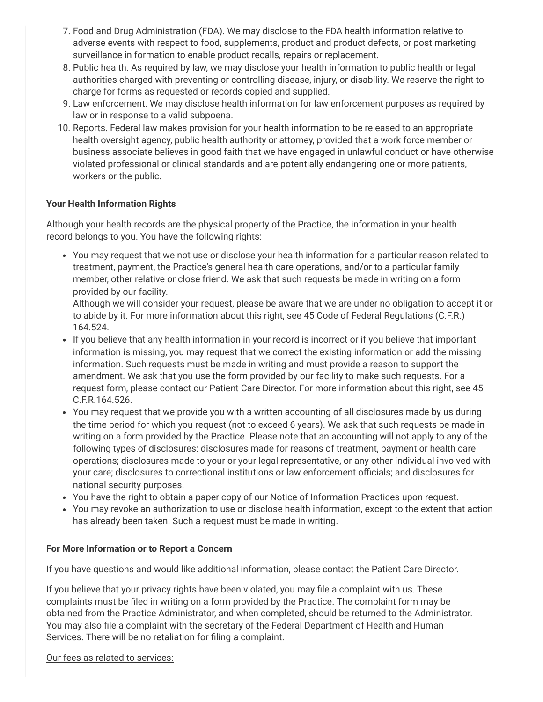- 7. Food and Drug Administration (FDA). We may disclose to the FDA health information relative to adverse events with respect to food, supplements, product and product defects, or post marketing surveillance in formation to enable product recalls, repairs or replacement.
- 8. Public health. As required by law, we may disclose your health information to public health or legal authorities charged with preventing or controlling disease, injury, or disability. We reserve the right to charge for forms as requested or records copied and supplied.
- 9. Law enforcement. We may disclose health information for law enforcement purposes as required by law or in response to a valid subpoena.
- 10. Reports. Federal law makes provision for your health information to be released to an appropriate health oversight agency, public health authority or attorney, provided that a work force member or business associate believes in good faith that we have engaged in unlawful conduct or have otherwise violated professional or clinical standards and are potentially endangering one or more patients, workers or the public.

# **Your Health Information Rights**

Although your health records are the physical property of the Practice, the information in your health record belongs to you. You have the following rights:

You may request that we not use or disclose your health information for a particular reason related to treatment, payment, the Practice's general health care operations, and/or to a particular family member, other relative or close friend. We ask that such requests be made in writing on a form provided by our facility.

Although we will consider your request, please be aware that we are under no obligation to accept it or to abide by it. For more information about this right, see 45 Code of Federal Regulations (C.F.R.) 164.524.

- If you believe that any health information in your record is incorrect or if you believe that important information is missing, you may request that we correct the existing information or add the missing information. Such requests must be made in writing and must provide a reason to support the amendment. We ask that you use the form provided by our facility to make such requests. For a request form, please contact our Patient Care Director. For more information about this right, see 45 C.F.R.164.526.
- You may request that we provide you with a written accounting of all disclosures made by us during the time period for which you request (not to exceed 6 years). We ask that such requests be made in writing on a form provided by the Practice. Please note that an accounting will not apply to any of the following types of disclosures: disclosures made for reasons of treatment, payment or health care operations; disclosures made to your or your legal representative, or any other individual involved with your care; disclosures to correctional institutions or law enforcement officials; and disclosures for national security purposes.
- You have the right to obtain a paper copy of our Notice of Information Practices upon request.
- You may revoke an authorization to use or disclose health information, except to the extent that action has already been taken. Such a request must be made in writing.

### **For More Information or to Report a Concern**

If you have questions and would like additional information, please contact the Patient Care Director.

If you believe that your privacy rights have been violated, you may file a complaint with us. These complaints must be filed in writing on a form provided by the Practice. The complaint form may be obtained from the Practice Administrator, and when completed, should be returned to the Administrator. You may also file a complaint with the secretary of the Federal Department of Health and Human Services. There will be no retaliation for filing a complaint.

Our fees as related to services: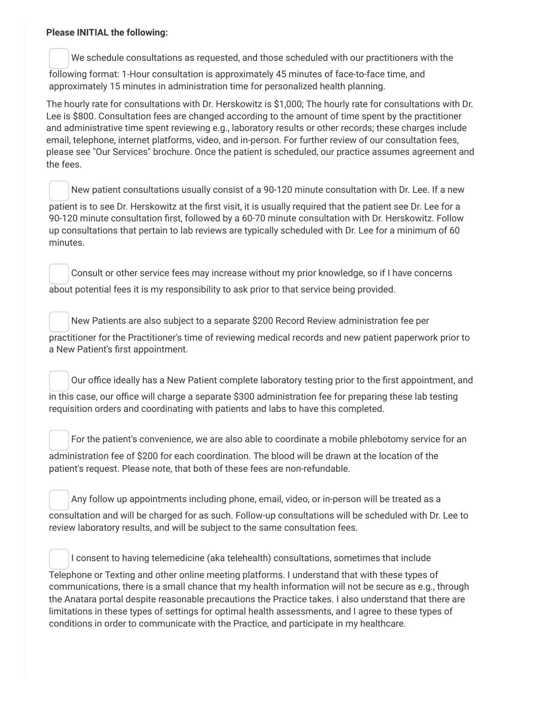### **Please INITIAL the following:**

We schedule consultations as requested, and those scheduled with our practitioners with the

following format: 1-Hour consultation is approximately 45 minutes of face-to-face time, and approximately 15 minutes in administration time for personalized health planning.

The hourly rate for consultations with Dr. Herskowitz is \$1,000; The hourly rate for consultations with Dr. Lee is \$800. Consultation fees are changed according to the amount of time spent by the practitioner and administrative time spent reviewing e.g., laboratory results or other records; these charges include email, telephone, internet platforms, video, and in-person. For further review of our consultation fees, please see "Our Services" brochure. Once the patient is scheduled, our practice assumes agreement and the fees.

New patient consultations usually consist of a 90-120 minute consultation with Dr. Lee. If a new

patient is to see Dr. Herskowitz at the first visit, it is usually required that the patient see Dr. Lee for a 90-120 minute consultation first, followed by a 60-70 minute consultation with Dr. Herskowitz. Follow up consultations that pertain to lab reviews are typically scheduled with Dr. Lee for a minimum of 60 minutes.

 Consult or other service fees may increase without my prior knowledge, so if I have concerns about potential fees it is my responsibility to ask prior to that service being provided.

 New Patients are also subject to a separate \$200 Record Review administration fee per practitioner for the Practitioner's time of reviewing medical records and new patient paperwork prior to a New Patient's first appointment.

 Our office ideally has a New Patient complete laboratory testing prior to the first appointment, and in this case, our office will charge a separate \$300 administration fee for preparing these lab testing requisition orders and coordinating with patients and labs to have this completed.

 For the patient's convenience, we are also able to coordinate a mobile phlebotomy service for an administration fee of \$200 for each coordination. The blood will be drawn at the location of the patient's request. Please note, that both of these fees are non-refundable.

 Any follow up appointments including phone, email, video, or in-person will be treated as a consultation and will be charged for as such. Follow-up consultations will be scheduled with Dr. Lee to review laboratory results, and will be subject to the same consultation fees.

I consent to having telemedicine (aka telehealth) consultations, sometimes that include

Telephone or Texting and other online meeting platforms. I understand that with these types of communications, there is a small chance that my health information will not be secure as e.g., through the Anatara portal despite reasonable precautions the Practice takes. I also understand that there are limitations in these types of settings for optimal health assessments, and I agree to these types of conditions in order to communicate with the Practice, and participate in my healthcare.